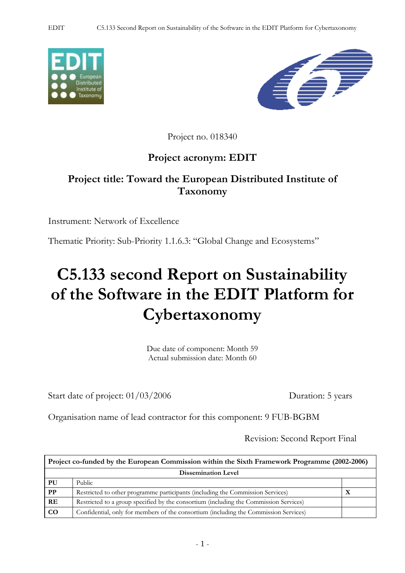



Project no. 018340

# **Project acronym: EDIT**

# **Project title: Toward the European Distributed Institute of Taxonomy**

Instrument: Network of Excellence

Thematic Priority: Sub-Priority 1.1.6.3: "Global Change and Ecosystems"

# **C5.133 second Report on Sustainability of the Software in the EDIT Platform for Cybertaxonomy**

Due date of component: Month 59 Actual submission date: Month 60

Start date of project:  $01/03/2006$  Duration: 5 years

Organisation name of lead contractor for this component: 9 FUB-BGBM

Revision: Second Report Final

| Project co-funded by the European Commission within the Sixth Framework Programme (2002-2006) |                                                                                       |   |  |  |
|-----------------------------------------------------------------------------------------------|---------------------------------------------------------------------------------------|---|--|--|
| <b>Dissemination Level</b>                                                                    |                                                                                       |   |  |  |
| PU                                                                                            | Public                                                                                |   |  |  |
| <b>PP</b>                                                                                     | Restricted to other programme participants (including the Commission Services)        | л |  |  |
| RE                                                                                            | Restricted to a group specified by the consortium (including the Commission Services) |   |  |  |
| $\rm CO$                                                                                      | Confidential, only for members of the consortium (including the Commission Services)  |   |  |  |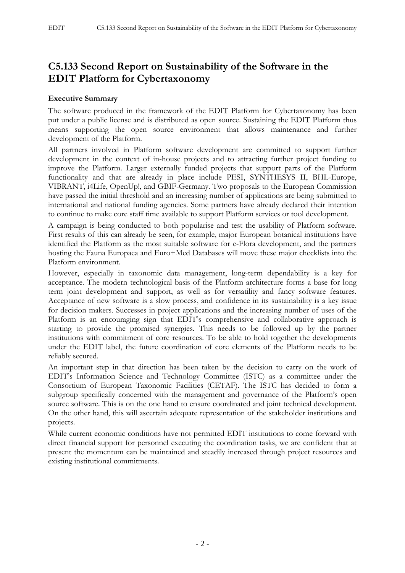## **C5.133 Second Report on Sustainability of the Software in the EDIT Platform for Cybertaxonomy**

#### **Executive Summary**

The software produced in the framework of the EDIT Platform for Cybertaxonomy has been put under a public license and is distributed as open source. Sustaining the EDIT Platform thus means supporting the open source environment that allows maintenance and further development of the Platform.

All partners involved in Platform software development are committed to support further development in the context of in-house projects and to attracting further project funding to improve the Platform. Larger externally funded projects that support parts of the Platform functionality and that are already in place include PESI, SYNTHESYS II, BHL-Europe, VIBRANT, i4Life, OpenUp!, and GBIF-Germany. Two proposals to the European Commission have passed the initial threshold and an increasing number of applications are being submitted to international and national funding agencies. Some partners have already declared their intention to continue to make core staff time available to support Platform services or tool development.

A campaign is being conducted to both popularise and test the usability of Platform software. First results of this can already be seen, for example, major European botanical institutions have identified the Platform as the most suitable software for e-Flora development, and the partners hosting the Fauna Europaea and Euro+Med Databases will move these major checklists into the Platform environment.

However, especially in taxonomic data management, long-term dependability is a key for acceptance. The modern technological basis of the Platform architecture forms a base for long term joint development and support, as well as for versatility and fancy software features. Acceptance of new software is a slow process, and confidence in its sustainability is a key issue for decision makers. Successes in project applications and the increasing number of uses of the Platform is an encouraging sign that EDIT's comprehensive and collaborative approach is starting to provide the promised synergies. This needs to be followed up by the partner institutions with commitment of core resources. To be able to hold together the developments under the EDIT label, the future coordination of core elements of the Platform needs to be reliably secured.

An important step in that direction has been taken by the decision to carry on the work of EDIT's Information Science and Technology Committee (ISTC) as a committee under the Consortium of European Taxonomic Facilities (CETAF). The ISTC has decided to form a subgroup specifically concerned with the management and governance of the Platform's open source software. This is on the one hand to ensure coordinated and joint technical development. On the other hand, this will ascertain adequate representation of the stakeholder institutions and projects.

While current economic conditions have not permitted EDIT institutions to come forward with direct financial support for personnel executing the coordination tasks, we are confident that at present the momentum can be maintained and steadily increased through project resources and existing institutional commitments.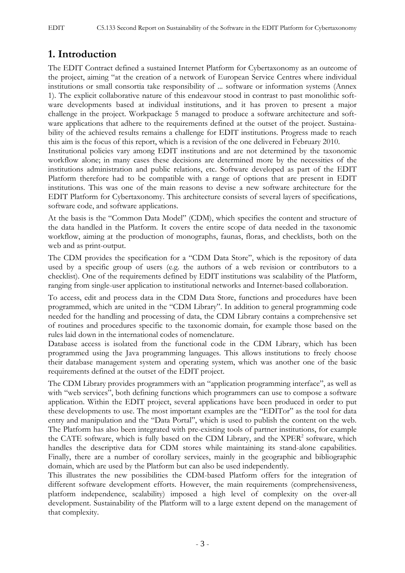## **1. Introduction**

The EDIT Contract defined a sustained Internet Platform for Cybertaxonomy as an outcome of the project, aiming "at the creation of a network of European Service Centres where individual institutions or small consortia take responsibility of ... software or information systems (Annex 1). The explicit collaborative nature of this endeavour stood in contrast to past monolithic software developments based at individual institutions, and it has proven to present a major challenge in the project. Workpackage 5 managed to produce a software architecture and software applications that adhere to the requirements defined at the outset of the project. Sustainability of the achieved results remains a challenge for EDIT institutions. Progress made to reach this aim is the focus of this report, which is a revision of the one delivered in February 2010. Institutional policies vary among EDIT institutions and are not determined by the taxonomic workflow alone; in many cases these decisions are determined more by the necessities of the institutions administration and public relations, etc. Software developed as part of the EDIT Platform therefore had to be compatible with a range of options that are present in EDIT institutions. This was one of the main reasons to devise a new software architecture for the EDIT Platform for Cybertaxonomy. This architecture consists of several layers of specifications, software code, and software applications.

At the basis is the "Common Data Model" (CDM), which specifies the content and structure of the data handled in the Platform. It covers the entire scope of data needed in the taxonomic workflow, aiming at the production of monographs, faunas, floras, and checklists, both on the web and as print-output.

The CDM provides the specification for a "CDM Data Store", which is the repository of data used by a specific group of users (e.g. the authors of a web revision or contributors to a checklist). One of the requirements defined by EDIT institutions was scalability of the Platform, ranging from single-user application to institutional networks and Internet-based collaboration.

To access, edit and process data in the CDM Data Store, functions and procedures have been programmed, which are united in the "CDM Library". In addition to general programming code needed for the handling and processing of data, the CDM Library contains a comprehensive set of routines and procedures specific to the taxonomic domain, for example those based on the rules laid down in the international codes of nomenclature.

Database access is isolated from the functional code in the CDM Library, which has been programmed using the Java programming languages. This allows institutions to freely choose their database management system and operating system, which was another one of the basic requirements defined at the outset of the EDIT project.

The CDM Library provides programmers with an "application programming interface", as well as with "web services", both defining functions which programmers can use to compose a software application. Within the EDIT project, several applications have been produced in order to put these developments to use. The most important examples are the "EDITor" as the tool for data entry and manipulation and the "Data Portal", which is used to publish the content on the web. The Platform has also been integrated with pre-existing tools of partner institutions, for example the CATE software, which is fully based on the CDM Library, and the XPER<sup>2</sup> software, which handles the descriptive data for CDM stores while maintaining its stand-alone capabilities. Finally, there are a number of corollary services, mainly in the geographic and bibliographic domain, which are used by the Platform but can also be used independently.

This illustrates the new possibilities the CDM-based Platform offers for the integration of different software development efforts. However, the main requirements (comprehensiveness, platform independence, scalability) imposed a high level of complexity on the over-all development. Sustainability of the Platform will to a large extent depend on the management of that complexity.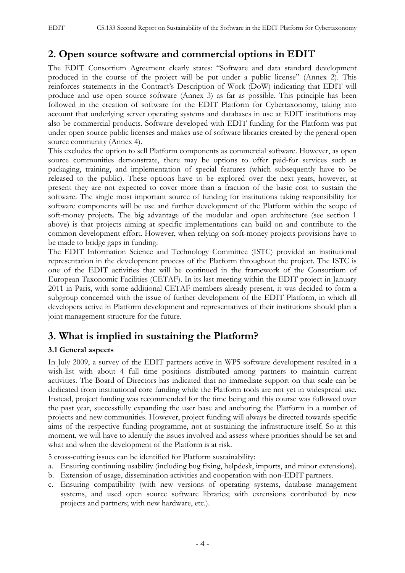## **2. Open source software and commercial options in EDIT**

The EDIT Consortium Agreement clearly states: "Software and data standard development produced in the course of the project will be put under a public license" (Annex 2). This reinforces statements in the Contract's Description of Work (DoW) indicating that EDIT will produce and use open source software (Annex 3) as far as possible. This principle has been followed in the creation of software for the EDIT Platform for Cybertaxonomy, taking into account that underlying server operating systems and databases in use at EDIT institutions may also be commercial products. Software developed with EDIT funding for the Platform was put under open source public licenses and makes use of software libraries created by the general open source community (Annex 4).

This excludes the option to sell Platform components as commercial software. However, as open source communities demonstrate, there may be options to offer paid-for services such as packaging, training, and implementation of special features (which subsequently have to be released to the public). These options have to be explored over the next years, however, at present they are not expected to cover more than a fraction of the basic cost to sustain the software. The single most important source of funding for institutions taking responsibility for software components will be use and further development of the Platform within the scope of soft-money projects. The big advantage of the modular and open architecture (see section 1 above) is that projects aiming at specific implementations can build on and contribute to the common development effort. However, when relying on soft-money projects provisions have to be made to bridge gaps in funding.

The EDIT Information Science and Technology Committee (ISTC) provided an institutional representation in the development process of the Platform throughout the project. The ISTC is one of the EDIT activities that will be continued in the framework of the Consortium of European Taxonomic Facilities (CETAF). In its last meeting within the EDIT project in January 2011 in Paris, with some additional CETAF members already present, it was decided to form a subgroup concerned with the issue of further development of the EDIT Platform, in which all developers active in Platform development and representatives of their institutions should plan a joint management structure for the future.

### **3. What is implied in sustaining the Platform?**

#### **3.1 General aspects**

In July 2009, a survey of the EDIT partners active in WP5 software development resulted in a wish-list with about 4 full time positions distributed among partners to maintain current activities. The Board of Directors has indicated that no immediate support on that scale can be dedicated from institutional core funding while the Platform tools are not yet in widespread use. Instead, project funding was recommended for the time being and this course was followed over the past year, successfully expanding the user base and anchoring the Platform in a number of projects and new communities. However, project funding will always be directed towards specific aims of the respective funding programme, not at sustaining the infrastructure itself. So at this moment, we will have to identify the issues involved and assess where priorities should be set and what and when the development of the Platform is at risk.

5 cross-cutting issues can be identified for Platform sustainability:

- a. Ensuring continuing usability (including bug fixing, helpdesk, imports, and minor extensions).
- b. Extension of usage, dissemination activities and cooperation with non-EDIT partners.
- c. Ensuring compatibility (with new versions of operating systems, database management systems, and used open source software libraries; with extensions contributed by new projects and partners; with new hardware, etc.).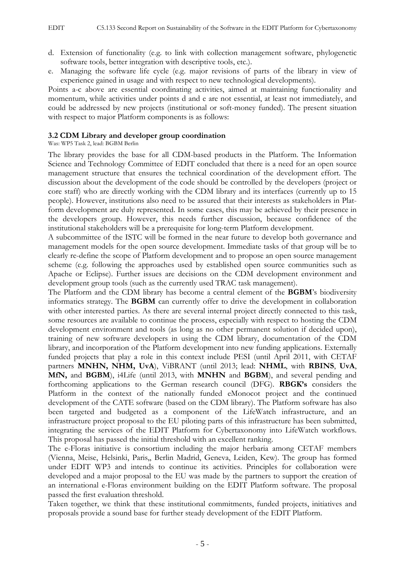- d. Extension of functionality (e.g. to link with collection management software, phylogenetic software tools, better integration with descriptive tools, etc.).
- e. Managing the software life cycle (e.g. major revisions of parts of the library in view of experience gained in usage and with respect to new technological developments).

Points a-c above are essential coordinating activities, aimed at maintaining functionality and momentum, while activities under points d and e are not essential, at least not immediately, and could be addressed by new projects (institutional or soft-money funded). The present situation with respect to major Platform components is as follows:

#### **3.2 CDM Library and developer group coordination**

Was: WP5 Task 2, lead: BGBM Berlin

The library provides the base for all CDM-based products in the Platform. The Information Science and Technology Committee of EDIT concluded that there is a need for an open source management structure that ensures the technical coordination of the development effort. The discussion about the development of the code should be controlled by the developers (project or core staff) who are directly working with the CDM library and its interfaces (currently up to 15 people). However, institutions also need to be assured that their interests as stakeholders in Platform development are duly represented. In some cases, this may be achieved by their presence in the developers group. However, this needs further discussion, because confidence of the institutional stakeholders will be a prerequisite for long-term Platform development.

A subcommittee of the ISTC will be formed in the near future to develop both governance and management models for the open source development. Immediate tasks of that group will be to clearly re-define the scope of Platform development and to propose an open source management scheme (e.g. following the approaches used by established open source communities such as Apache or Eclipse). Further issues are decisions on the CDM development environment and development group tools (such as the currently used TRAC task management).

The Platform and the CDM library has become a central element of the **BGBM**'s biodiversity informatics strategy. The **BGBM** can currently offer to drive the development in collaboration with other interested parties. As there are several internal project directly connected to this task, some resources are available to continue the process, especially with respect to hosting the CDM development environment and tools (as long as no other permanent solution if decided upon), training of new software developers in using the CDM library, documentation of the CDM library, and incorporation of the Platform development into new funding applications. Externally funded projects that play a role in this context include PESI (until April 2011, with CETAF partners **MNHN, NHM, UvA**), ViBRANT (until 2013; lead: **NHML**, with **RBINS**, **UvA**, **MfN,** and **BGBM**), i4Life (until 2013, with **MNHN** and **BGBM**), and several pending and forthcoming applications to the German research council (DFG). **RBGK's** considers the Platform in the context of the nationally funded eMonocot project and the continued development of the CATE software (based on the CDM library). The Platform software has also been targeted and budgeted as a component of the LifeWatch infrastructure, and an infrastructure project proposal to the EU piloting parts of this infrastructure has been submitted, integrating the services of the EDIT Platform for Cybertaxonomy into LifeWatch workflows. This proposal has passed the initial threshold with an excellent ranking.

The e-Floras initiative is consortium including the major herbaria among CETAF members (Vienna, Meise, Helsinki, Paris,, Berlin Madrid, Geneva, Leiden, Kew). The group has formed under EDIT WP3 and intends to continue its activities. Principles for collaboration were developed and a major proposal to the EU was made by the partners to support the creation of an international e-Floras environment building on the EDIT Platform software. The proposal passed the first evaluation threshold.

Taken together, we think that these institutional commitments, funded projects, initiatives and proposals provide a sound base for further steady development of the EDIT Platform.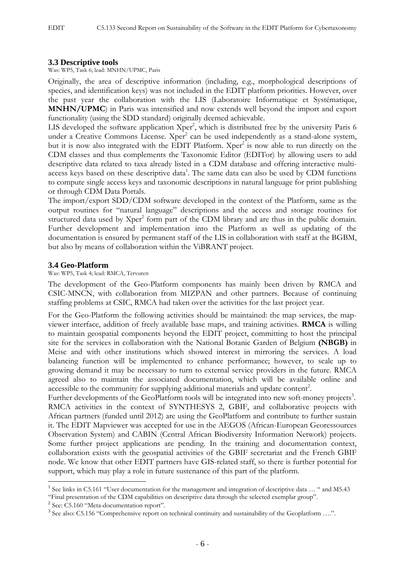#### **3.3 Descriptive tools**

Was: WP5, Task 6; lead: MNHN/UPMC, Paris

Originally, the area of descriptive information (including, e.g., morphological descriptions of species, and identification keys) was not included in the EDIT platform priorities. However, over the past year the collaboration with the LIS (Laboratoire Informatique et Systématique, **MNHN/UPMC**) in Paris was intensified and now extends well beyond the import and export functionality (using the SDD standard) originally deemed achievable.

LIS developed the software application Xper<sup>2</sup>, which is distributed free by the university Paris 6 under a Creative Commons License. Xper<sup>2</sup> can be used independently as a stand-alone system, but it is now also integrated with the EDIT Platform. Xper<sup>2</sup> is now able to run directly on the CDM classes and thus complements the Taxonomic Editor (EDITor) by allowing users to add descriptive data related to taxa already listed in a CDM database and offering interactive multiaccess keys based on these descriptive data<sup>1</sup>. The same data can also be used by CDM functions to compute single access keys and taxonomic descriptions in natural language for print publishing or through CDM Data Portals.

The import/export SDD/CDM software developed in the context of the Platform, same as the output routines for "natural language" descriptions and the access and storage routines for structured data used by Xper<sup>2</sup> form part of the CDM library and are thus in the public domain. Further development and implementation into the Platform as well as updating of the documentation is ensured by permanent staff of the LIS in collaboration with staff at the BGBM, but also by means of collaboration within the ViBRANT project.

#### **3.4 Geo-Platform**

Was: WP5, Task 4; lead: RMCA, Tervuren

The development of the Geo-Platform components has mainly been driven by RMCA and CSIC-MNCN, with collaboration from MIZPAN and other partners. Because of continuing staffing problems at CSIC, RMCA had taken over the activities for the last project year.

For the Geo-Platform the following activities should be maintained: the map services, the mapviewer interface, addition of freely available base maps, and training activities. **RMCA** is willing to maintain geospatial components beyond the EDIT project, committing to host the principal site for the services in collaboration with the National Botanic Garden of Belgium **(NBGB)** in Meise and with other institutions which showed interest in mirroring the services. A load balancing function will be implemented to enhance performance; however, to scale up to growing demand it may be necessary to turn to external service providers in the future. RMCA agreed also to maintain the associated documentation, which will be available online and accessible to the community for supplying additional materials and update content<sup>2</sup>.

Further developments of the GeoPlatform tools will be integrated into new soft-money projects<sup>3</sup>. RMCA activities in the context of SYNTHESYS 2, GBIF, and collaborative projects with African partners (funded until 2012) are using the GeoPlatform and contribute to further sustain it. The EDIT Mapviewer was accepted for use in the AEGOS (African-European Georessources Observation System) and CABIN (Central African Biodiversity Information Network) projects. Some further project applications are pending. In the training and documentation context, collaboration exists with the geospatial activities of the GBIF secretariat and the French GBIF node. We know that other EDIT partners have GIS-related staff, so there is further potential for support, which may play a role in future sustenance of this part of the platform.

1

<sup>&</sup>lt;sup>1</sup> See links in C5.161 "User documentation for the management and integration of descriptive data ... " and M5.43

<sup>&</sup>quot;Final presentation of the CDM capabilities on descriptive data through the selected exemplar group". 2 See: C5.160 "Meta-documentation report".

<sup>&</sup>lt;sup>3</sup> See also: C5.156 "Comprehensive report on technical continuity and sustainability of the Geoplatform ....".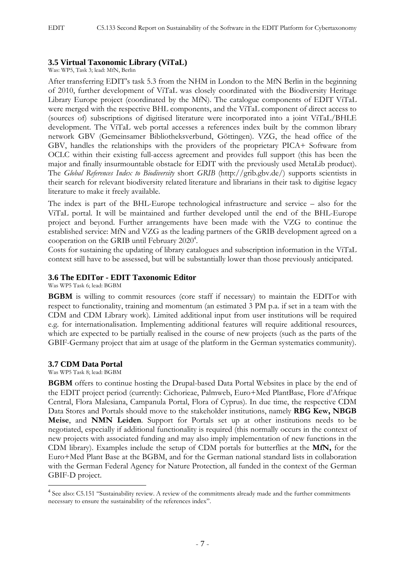#### **3.5 Virtual Taxonomic Library (ViTaL)**

Was: WP5, Task 3; lead: MfN, Berlin

After transferring EDIT's task 5.3 from the NHM in London to the MfN Berlin in the beginning of 2010, further development of ViTaL was closely coordinated with the Biodiversity Heritage Library Europe project (coordinated by the MfN). The catalogue components of EDIT ViTaL were merged with the respective BHL components, and the ViTaL component of direct access to (sources of) subscriptions of digitised literature were incorporated into a joint ViTaL/BHLE development. The ViTaL web portal accesses a references index built by the common library network GBV (Gemeinsamer Bibliotheksverbund, Göttingen). VZG, the head office of the GBV, handles the relationships with the providers of the proprietary PICA+ Software from OCLC within their existing full-access agreement and provides full support (this has been the major and finally insurmountable obstacle for EDIT with the previously used MetaLib product). The *Global References Index to Biodiversity* short *GRIB* (http://grib.gbv.de/) supports scientists in their search for relevant biodiversity related literature and librarians in their task to digitise legacy literature to make it freely available.

The index is part of the BHL-Europe technological infrastructure and service – also for the ViTaL portal. It will be maintained and further developed until the end of the BHL-Europe project and beyond. Further arrangements have been made with the VZG to continue the established service: MfN and VZG as the leading partners of the GRIB development agreed on a cooperation on the GRIB until February 2020<sup>4</sup>.

Costs for sustaining the updating of library catalogues and subscription information in the ViTaL context still have to be assessed, but will be substantially lower than those previously anticipated.

#### **3.6 The EDITor - EDIT Taxonomic Editor**

Was WP5 Task 6; lead: BGBM

**BGBM** is willing to commit resources (core staff if necessary) to maintain the EDITor with respect to functionality, training and momentum (an estimated 3 PM p.a. if set in a team with the CDM and CDM Library work). Limited additional input from user institutions will be required e.g. for internationalisation. Implementing additional features will require additional resources, which are expected to be partially realised in the course of new projects (such as the parts of the GBIF-Germany project that aim at usage of the platform in the German systematics community).

#### **3.7 CDM Data Portal**

Was WP5 Task 8; lead: BGBM

1

**BGBM** offers to continue hosting the Drupal-based Data Portal Websites in place by the end of the EDIT project period (currently: Cichorieae, Palmweb, Euro+Med PlantBase, Flore d'Afrique Central, Flora Malesiana, Campanula Portal, Flora of Cyprus). In due time, the respective CDM Data Stores and Portals should move to the stakeholder institutions, namely **RBG Kew, NBGB Meise**, and **NMN Leiden**. Support for Portals set up at other institutions needs to be negotiated, especially if additional functionality is required (this normally occurs in the context of new projects with associated funding and may also imply implementation of new functions in the CDM library). Examples include the setup of CDM portals for butterflies at the **MfN,** for the Euro+Med Plant Base at the BGBM, and for the German national standard lists in collaboration with the German Federal Agency for Nature Protection, all funded in the context of the German GBIF-D project.

<sup>&</sup>lt;sup>4</sup> See also: C5.151 "Sustainability review. A review of the commitments already made and the further commitments necessary to ensure the sustainability of the references index".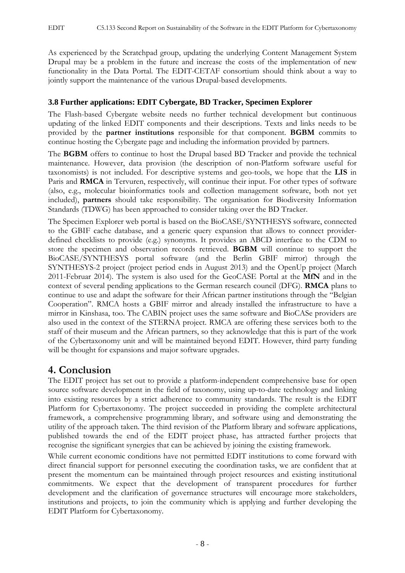As experienced by the Scratchpad group, updating the underlying Content Management System Drupal may be a problem in the future and increase the costs of the implementation of new functionality in the Data Portal. The EDIT-CETAF consortium should think about a way to jointly support the maintenance of the various Drupal-based developments.

#### **3.8 Further applications: EDIT Cybergate, BD Tracker, Specimen Explorer**

The Flash-based Cybergate website needs no further technical development but continuous updating of the linked EDIT components and their descriptions. Texts and links needs to be provided by the **partner institutions** responsible for that component. **BGBM** commits to continue hosting the Cybergate page and including the information provided by partners.

The **BGBM** offers to continue to host the Drupal based BD Tracker and provide the technical maintenance. However, data provision (the description of non-Platform software useful for taxonomists) is not included. For descriptive systems and geo-tools, we hope that the **LIS** in Paris and **RMCA** in Tervuren, respectively, will continue their input. For other types of software (also, e.g., molecular bioinformatics tools and collection management software, both not yet included), **partners** should take responsibility. The organisation for Biodiversity Information Standards (TDWG) has been approached to consider taking over the BD Tracker.

The Specimen Explorer web portal is based on the BioCASE/SYNTHESYS software, connected to the GBIF cache database, and a generic query expansion that allows to connect providerdefined checklists to provide (e.g.) synonyms. It provides an ABCD interface to the CDM to store the specimen and observation records retrieved. **BGBM** will continue to support the BioCASE/SYNTHESYS portal software (and the Berlin GBIF mirror) through the SYNTHESYS-2 project (project period ends in August 2013) and the OpenUp project (March 2011-Februar 2014). The system is also used for the GeoCASE Portal at the **MfN** and in the context of several pending applications to the German research council (DFG). **RMCA** plans to continue to use and adapt the software for their African partner institutions through the "Belgian Cooperation". RMCA hosts a GBIF mirror and already installed the infrastructure to have a mirror in Kinshasa, too. The CABIN project uses the same software and BioCASe providers are also used in the context of the STERNA project. RMCA are offering these services both to the staff of their museum and the African partners, so they acknowledge that this is part of the work of the Cybertaxonomy unit and will be maintained beyond EDIT. However, third party funding will be thought for expansions and major software upgrades.

## **4. Conclusion**

The EDIT project has set out to provide a platform-independent comprehensive base for open source software development in the field of taxonomy, using up-to-date technology and linking into existing resources by a strict adherence to community standards. The result is the EDIT Platform for Cybertaxonomy. The project succeeded in providing the complete architectural framework, a comprehensive programming library, and software using and demonstrating the utility of the approach taken. The third revision of the Platform library and software applications, published towards the end of the EDIT project phase, has attracted further projects that recognise the significant synergies that can be achieved by joining the existing framework.

While current economic conditions have not permitted EDIT institutions to come forward with direct financial support for personnel executing the coordination tasks, we are confident that at present the momentum can be maintained through project resources and existing institutional commitments. We expect that the development of transparent procedures for further development and the clarification of governance structures will encourage more stakeholders, institutions and projects, to join the community which is applying and further developing the EDIT Platform for Cybertaxonomy.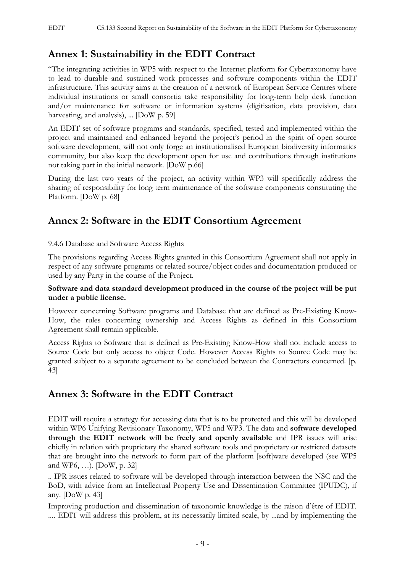## **Annex 1: Sustainability in the EDIT Contract**

"The integrating activities in WP5 with respect to the Internet platform for Cybertaxonomy have to lead to durable and sustained work processes and software components within the EDIT infrastructure. This activity aims at the creation of a network of European Service Centres where individual institutions or small consortia take responsibility for long-term help desk function and/or maintenance for software or information systems (digitisation, data provision, data harvesting, and analysis), ... [DoW p. 59]

An EDIT set of software programs and standards, specified, tested and implemented within the project and maintained and enhanced beyond the project's period in the spirit of open source software development, will not only forge an institutionalised European biodiversity informatics community, but also keep the development open for use and contributions through institutions not taking part in the initial network. [DoW p.66]

During the last two years of the project, an activity within WP3 will specifically address the sharing of responsibility for long term maintenance of the software components constituting the Platform. [DoW p. 68]

## **Annex 2: Software in the EDIT Consortium Agreement**

#### 9.4.6 Database and Software Access Rights

The provisions regarding Access Rights granted in this Consortium Agreement shall not apply in respect of any software programs or related source/object codes and documentation produced or used by any Party in the course of the Project.

#### **Software and data standard development produced in the course of the project will be put under a public license.**

However concerning Software programs and Database that are defined as Pre-Existing Know-How, the rules concerning ownership and Access Rights as defined in this Consortium Agreement shall remain applicable.

Access Rights to Software that is defined as Pre-Existing Know-How shall not include access to Source Code but only access to object Code. However Access Rights to Source Code may be granted subject to a separate agreement to be concluded between the Contractors concerned. [p. 43]

## **Annex 3: Software in the EDIT Contract**

EDIT will require a strategy for accessing data that is to be protected and this will be developed within WP6 Unifying Revisionary Taxonomy, WP5 and WP3. The data and **software developed through the EDIT network will be freely and openly available** and IPR issues will arise chiefly in relation with proprietary the shared software tools and proprietary or restricted datasets that are brought into the network to form part of the platform [soft]ware developed (see WP5 and WP6, …). [DoW, p. 32]

.. IPR issues related to software will be developed through interaction between the NSC and the BoD, with advice from an Intellectual Property Use and Dissemination Committee (IPUDC), if any. [DoW p. 43]

Improving production and dissemination of taxonomic knowledge is the raison d'être of EDIT. .... EDIT will address this problem, at its necessarily limited scale, by ...and by implementing the